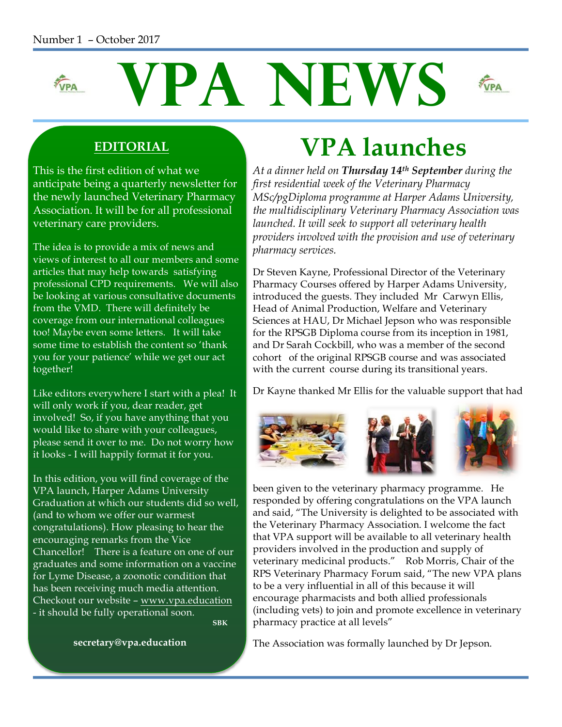#### Number 1 – October 2017



#### **EDITORIAL**

This is the first edition of what we anticipate being a quarterly newsletter for the newly launched Veterinary Pharmacy Association. It will be for all professional veterinary care providers.

The idea is to provide a mix of news and views of interest to all our members and some articles that may help towards satisfying professional CPD requirements. We will also be looking at various consultative documents from the VMD. There will definitely be coverage from our international colleagues too! Maybe even some letters. It will take some time to establish the content so 'thank you for your patience' while we get our act together!

Like editors everywhere I start with a plea! It will only work if you, dear reader, get involved! So, if you have anything that you would like to share with your colleagues, please send it over to me. Do not worry how it looks - I will happily format it for you.

In this edition, you will find coverage of the VPA launch, Harper Adams University Graduation at which our students did so well, (and to whom we offer our warmest congratulations). How pleasing to hear the encouraging remarks from the Vice Chancellor! There is a feature on one of our graduates and some information on a vaccine for Lyme Disease, a zoonotic condition that has been receiving much media attention. Checkout our website – www.vpa.education - it should be fully operational soon.**SBK** SERVICE STRUCK SERVICE STRUCK SERVICE STRUCK SERVICE STRUCK SERVICE STRUCK SERVICE STRUCK SERVICE STRUCK

 **secretary@vpa.education**

# **VPA launches**

*At a dinner held on Thursday 14th September during the first residential week of the Veterinary Pharmacy MSc/pgDiploma programme at Harper Adams University, the multidisciplinary Veterinary Pharmacy Association was launched. It will seek to support all veterinary health providers involved with the provision and use of veterinary pharmacy services.*

Dr Steven Kayne, Professional Director of the Veterinary Pharmacy Courses offered by Harper Adams University, introduced the guests. They included Mr Carwyn Ellis, Head of Animal Production, Welfare and Veterinary Sciences at HAU, Dr Michael Jepson who was responsible for the RPSGB Diploma course from its inception in 1981, and Dr Sarah Cockbill, who was a member of the second cohort of the original RPSGB course and was associated with the current course during its transitional years.

Dr Kayne thanked Mr Ellis for the valuable support that had



been given to the veterinary pharmacy programme. He responded by offering congratulations on the VPA launch and said, "The University is delighted to be associated with the Veterinary Pharmacy Association. I welcome the fact that VPA support will be available to all veterinary health providers involved in the production and supply of veterinary medicinal products." Rob Morris, Chair of the RPS Veterinary Pharmacy Forum said, "The new VPA plans to be a very influential in all of this because it will encourage pharmacists and both allied professionals (including vets) to join and promote excellence in veterinary pharmacy practice at all levels"

The Association was formally launched by Dr Jepson.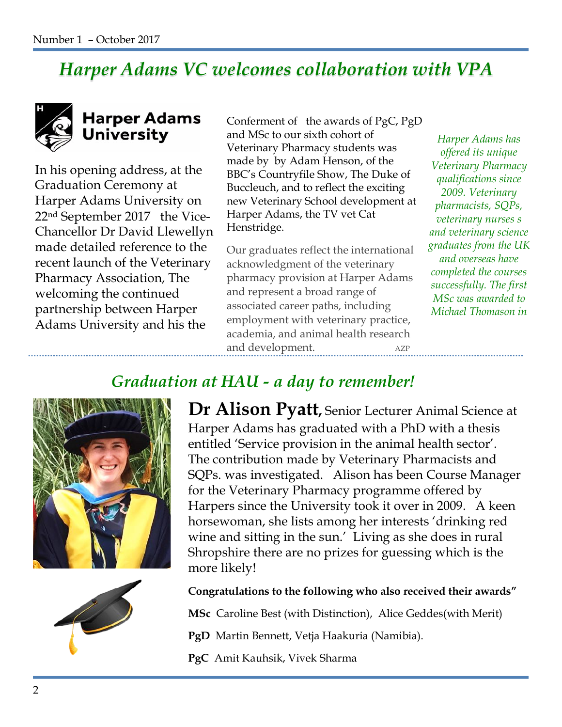## *Harper Adams VC welcomes collaboration with VPA*



## **Harper Adams** University

In his opening address, at the Graduation Ceremony at Harper Adams University on 22nd September 2017 the Vice-Chancellor Dr David Llewellyn made detailed reference to the recent launch of the Veterinary Pharmacy Association, The welcoming the continued partnership between Harper Adams University and his the

Conferment of the awards of PgC, PgD and MSc to our sixth cohort of Veterinary Pharmacy students was made by by Adam Henson, of the BBC's Countryfile Show, The Duke of Buccleuch, and to reflect the exciting new Veterinary School development at Harper Adams, the TV vet Cat Henstridge.

Our graduates reflect the international acknowledgment of the veterinary pharmacy provision at Harper Adams and represent a broad range of associated career paths, including employment with veterinary practice, academia, and animal health research and development. AZP

*Harper Adams has offered its unique Veterinary Pharmacy qualifications since 2009. Veterinary pharmacists, SQPs, veterinary nurses s and veterinary science graduates from the UK and overseas have completed the courses successfully. The first MSc was awarded to Michael Thomason in* 

## *Graduation at HAU - a day to remember!*





**Dr Alison Pyatt,** Senior Lecturer Animal Science at Harper Adams has graduated with a PhD with a thesis entitled 'Service provision in the animal health sector'. The contribution made by Veterinary Pharmacists and SQPs. was investigated. Alison has been Course Manager for the Veterinary Pharmacy programme offered by Harpers since the University took it over in 2009. A keen horsewoman, she lists among her interests 'drinking red wine and sitting in the sun.' Living as she does in rural Shropshire there are no prizes for guessing which is the more likely!

#### **Congratulations to the following who also received their awards"**

**MSc** Caroline Best (with Distinction), Alice Geddes(with Merit)

- **PgD** Martin Bennett, Vetja Haakuria (Namibia).
- **PgC** Amit Kauhsik, Vivek Sharma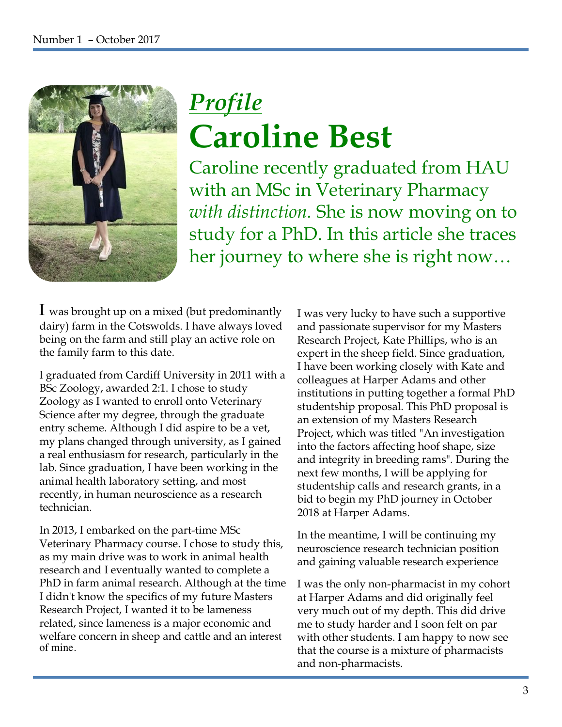

# *Profile*  **Caroline Best**

Caroline recently graduated from HAU with an MSc in Veterinary Pharmacy *with distinction.* She is now moving on to study for a PhD. In this article she traces her journey to where she is right now…

I was brought up on a mixed (but predominantly dairy) farm in the Cotswolds. I have always loved being on the farm and still play an active role on the family farm to this date.

I graduated from Cardiff University in 2011 with a BSc Zoology, awarded 2:1. I chose to study Zoology as I wanted to enroll onto Veterinary Science after my degree, through the graduate entry scheme. Although I did aspire to be a vet, my plans changed through university, as I gained a real enthusiasm for research, particularly in the lab. Since graduation, I have been working in the animal health laboratory setting, and most recently, in human neuroscience as a research technician.

In 2013, I embarked on the part-time MSc Veterinary Pharmacy course. I chose to study this, as my main drive was to work in animal health research and I eventually wanted to complete a PhD in farm animal research. Although at the time I didn't know the specifics of my future Masters Research Project, I wanted it to be lameness related, since lameness is a major economic and welfare concern in sheep and cattle and an interest of mine.

I was very lucky to have such a supportive and passionate supervisor for my Masters Research Project, Kate Phillips, who is an expert in the sheep field. Since graduation, I have been working closely with Kate and colleagues at Harper Adams and other institutions in putting together a formal PhD studentship proposal. This PhD proposal is an extension of my Masters Research Project, which was titled "An investigation into the factors affecting hoof shape, size and integrity in breeding rams". During the next few months, I will be applying for studentship calls and research grants, in a bid to begin my PhD journey in October 2018 at Harper Adams.

In the meantime, I will be continuing my neuroscience research technician position and gaining valuable research experience

I was the only non-pharmacist in my cohort at Harper Adams and did originally feel very much out of my depth. This did drive me to study harder and I soon felt on par with other students. I am happy to now see that the course is a mixture of pharmacists and non-pharmacists.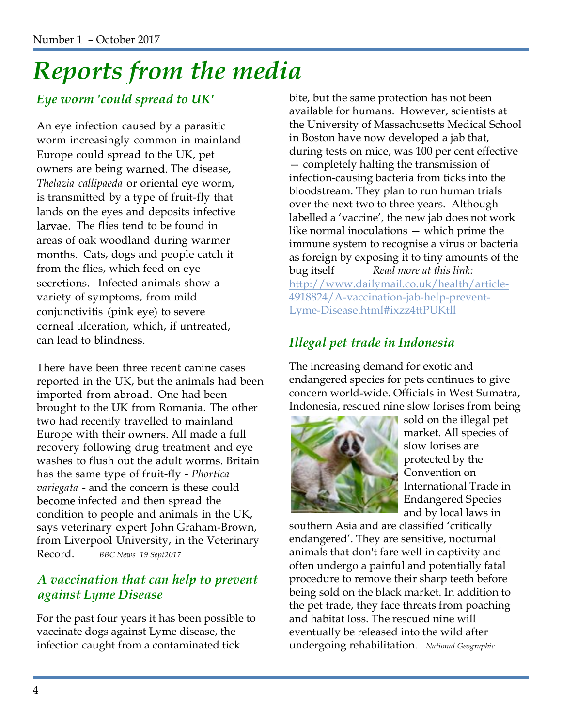# *Reports from the media*

### *Eye worm 'could spread to UK'*

An eye infection caused by a parasitic worm increasingly common in mainland Europe could spread to the UK, pet owners are being warned. The disease, *Thelazia callipaeda* or oriental eye worm, is transmitted by a type of fruit-fly that lands on the eyes and deposits infective larvae. The flies tend to be found in areas of oak woodland during warmer months. Cats, dogs and people catch it from the flies, which feed on eye secretions. Infected animals show a variety of symptoms, from mild conjunctivitis (pink eye) to severe corneal ulceration, which, if untreated, can lead to blindness.

There have been three recent canine cases reported in the UK, but the animals had been imported from abroad. One had been brought to the UK from Romania. The other two had recently travelled to Europe with their owners. All made a full recovery following drug treatment and eye washes to flush out the adult worms. Britain has the same type of fruit-fly - *Phortica variegata* - and the concern is these could become infected and then spread the condition to people and animals in the UK, says veterinary expert John Graham-Brown, from Liverpool University, in the Veterinary Record. *BBC News 19 Sept2017*

#### *A vaccination that can help to prevent against Lyme Disease*

For the past four years it has been possible to vaccinate dogs against Lyme disease, the infection caught from a contaminated tick

bite, but the same protection has not been available for humans. However, scientists at the University of Massachusetts Medical School in Boston have now developed a jab that, during tests on mice, was 100 per cent effective — completely halting the transmission of infection-causing bacteria from ticks into the bloodstream. They plan to run human trials over the next two to three years. Although labelled a 'vaccine', the new jab does not work like normal inoculations — which prime the immune system to recognise a virus or bacteria as foreign by exposing it to tiny amounts of the bug itself *Read more at this link:* http://www.dailymail.co.uk/health/article-4918824/A-vaccination-jab-help-prevent-Lyme-Disease.html#ixzz4ttPUKtll

### *Illegal pet trade in Indonesia*

The increasing demand for exotic and endangered species for pets continues to give concern world-wide. Officials in West Sumatra, Indonesia, rescued nine slow lorises from being



sold on the illegal pet market. All species of slow lorises are protected by the Convention on International Trade in Endangered Species and by local laws in

southern Asia and are classified 'critically endangered'. They are sensitive, nocturnal animals that don't fare well in captivity and often undergo a painful and potentially fatal procedure to remove their sharp teeth before being sold on the black market. In addition to the pet trade, they face threats from poaching and habitat loss. The rescued nine will eventually be released into the wild after undergoing rehabilitation. *National Geographic*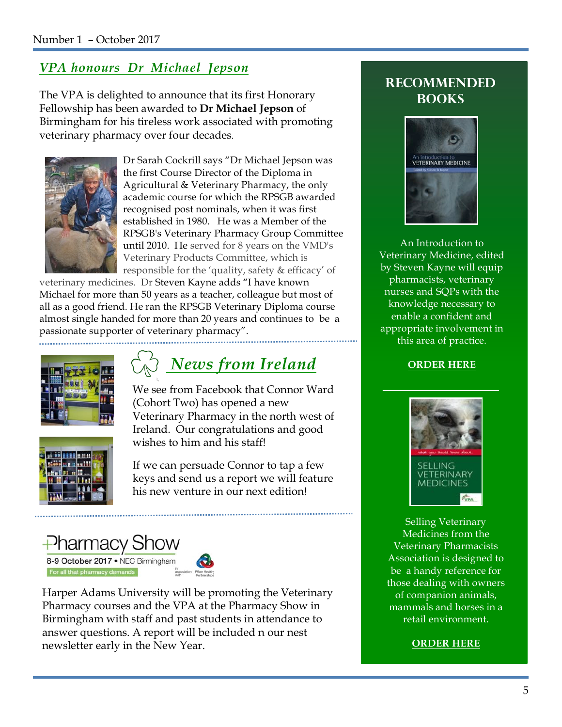#### Number 1 – October 2017

#### *VPA honours Dr Michael Jepson*

The VPA is delighted to announce that its first Honorary Fellowship has been awarded to **Dr Michael Jepson** of Birmingham for his tireless work associated with promoting veterinary pharmacy over four decades.



Dr Sarah Cockrill says "Dr Michael Jepson was the first Course Director of the Diploma in Agricultural & Veterinary Pharmacy, the only academic course for which the RPSGB awarded recognised post nominals, when it was first established in 1980. He was a Member of the RPSGB's Veterinary Pharmacy Group Committee until 2010. He served for 8 years on the VMD's Veterinary Products Committee, which is responsible for the 'quality, safety & efficacy' of

veterinary medicines. Dr Steven Kayne adds "I have known Michael for more than 50 years as a teacher, colleague but most of all as a good friend. He ran the RPSGB Veterinary Diploma course almost single handed for more than 20 years and continues to be a passionate supporter of veterinary pharmacy".



# *News from Ireland* **ORDER HERE**

We see from Facebook that Connor Ward (Cohort Two) has opened a new Veterinary Pharmacy in the north west of Ireland. Our congratulations and good wishes to him and his staff!



If we can persuade Connor to tap a few keys and send us a report we will feature his new venture in our next edition!





Harper Adams University will be promoting the Veterinary Pharmacy courses and the VPA at the Pharmacy Show in Birmingham with staff and past students in attendance to answer questions. A report will be included n our nest newsletter early in the New Year.

#### **Recommended books**



An Introduction to Veterinary Medicine, edited by Steven Kayne will equip pharmacists, veterinary nurses and SQPs with the knowledge necessary to enable a confident and appropriate involvement in this area of practice.



Selling Veterinary Medicines from the Veterinary Pharmacists Association is designed to be a handy reference for those dealing with owners of companion animals, mammals and horses in a retail environment.

#### **ORDER HERE**